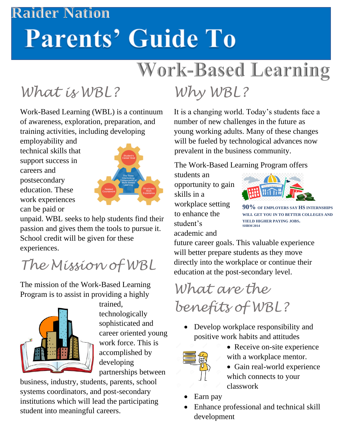#### **Raider Nation**

# **Parents' Guide To**

# **Work-Based Learning**

## *What is WBL?*

Work-Based Learning (WBL) is a continuum of awareness, exploration, preparation, and training activities, including developing

employability and technical skills that support success in careers and postsecondary education. These work experiences can be paid or



unpaid. WBL seeks to help students find their passion and gives them the tools to pursue it. School credit will be given for these experiences.

## *The Mission of WBL*

The mission of the Work-Based Learning Program is to assist in providing a highly



trained, technologically sophisticated and career oriented young work force. This is accomplished by developing partnerships between

business, industry, students, parents, school systems coordinators, and post-secondary institutions which will lead the participating student into meaningful careers.

# *Why WBL?*

It is a changing world. Today's students face a number of new challenges in the future as young working adults. Many of these changes will be fueled by technological advances now prevalent in the business community.

#### The Work-Based Learning Program offers

students an opportunity to gain skills in a workplace setting to enhance the student's academic and



**90% OF EMPLOYERS SAY HS INTERNSHIPS WILL GET YOU IN TO BETTER COLLEGES AND YIELD HIGHER PAYING JOBS. SHRM 2014**

future career goals. This valuable experience will better prepare students as they move directly into the workplace or continue their education at the post-secondary level.

*What are the benefits of WBL?*

• Develop workplace responsibility and positive work habits and attitudes



- Receive on-site experience with a workplace mentor.
- Gain real-world experience which connects to your classwork
- Earn pay
- Enhance professional and technical skill development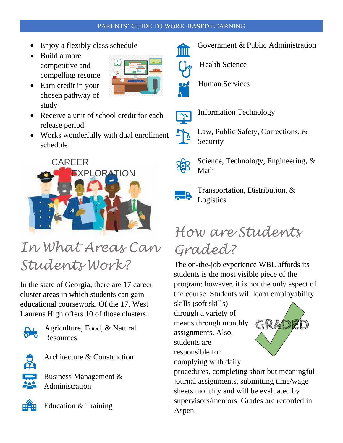#### PARENTS' GUIDE TO WORK-BASED LEARNING

- Enjoy a flexibly class schedule
- Build a more competitive and compelling resume
- Earn credit in your chosen pathway of study
- Receive a unit of school credit for each release period
- Works wonderfully with dual enrollment schedule



### *In What Areas Can Students Work?*

In the state of Georgia, there are 17 career cluster areas in which students can gain educational coursework. Of the 17, West Laurens High offers 10 of those clusters.



Agriculture, Food, & Natural **Resources** 



Architecture & Construction

Business Management & Administration



Education & Training



Government & Public Administration THUT



Health Science



Human Services



- Information Technology
- $\mathbb{Z}$ Law, Public Safety, Corrections, & Security
	- Science, Technology, Engineering, & Math



Transportation, Distribution, & Logistics

### *How are Students Graded?*

The on-the-job experience WBL affords its students is the most visible piece of the program; however, it is not the only aspect of the course. Students will learn employability

skills (soft skills) through a variety of means through monthly assignments. Also, students are responsible for complying with daily



procedures, completing short but meaningful journal assignments, submitting time/wage sheets monthly and will be evaluated by supervisors/mentors. Grades are recorded in Aspen.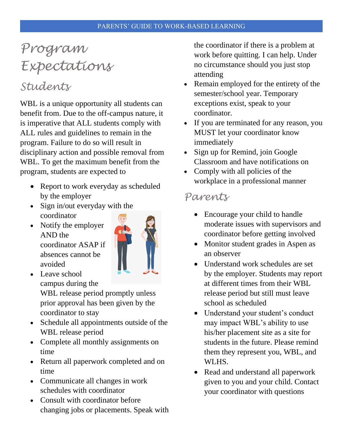### *Program Expectations*

### *Students*

WBL is a unique opportunity all students can benefit from. Due to the off-campus nature, it is imperative that ALL students comply with ALL rules and guidelines to remain in the program. Failure to do so will result in disciplinary action and possible removal from WBL. To get the maximum benefit from the program, students are expected to

- Report to work everyday as scheduled by the employer
- Sign in/out everyday with the coordinator
- Notify the employer AND the coordinator ASAP if absences cannot be avoided



• Leave school campus during the

WBL release period promptly unless prior approval has been given by the coordinator to stay

- Schedule all appointments outside of the WBL release period
- Complete all monthly assignments on time
- Return all paperwork completed and on time
- Communicate all changes in work schedules with coordinator
- Consult with coordinator before changing jobs or placements. Speak with

the coordinator if there is a problem at work before quitting. I can help. Under no circumstance should you just stop attending

- Remain employed for the entirety of the semester/school year. Temporary exceptions exist, speak to your coordinator.
- If you are terminated for any reason, you MUST let your coordinator know immediately
- Sign up for Remind, join Google Classroom and have notifications on
- Comply with all policies of the workplace in a professional manner

#### *Parents*

- Encourage your child to handle moderate issues with supervisors and coordinator before getting involved
- Monitor student grades in Aspen as an observer
- Understand work schedules are set by the employer. Students may report at different times from their WBL release period but still must leave school as scheduled
- Understand your student's conduct may impact WBL's ability to use his/her placement site as a site for students in the future. Please remind them they represent you, WBL, and WLHS.
- Read and understand all paperwork given to you and your child. Contact your coordinator with questions